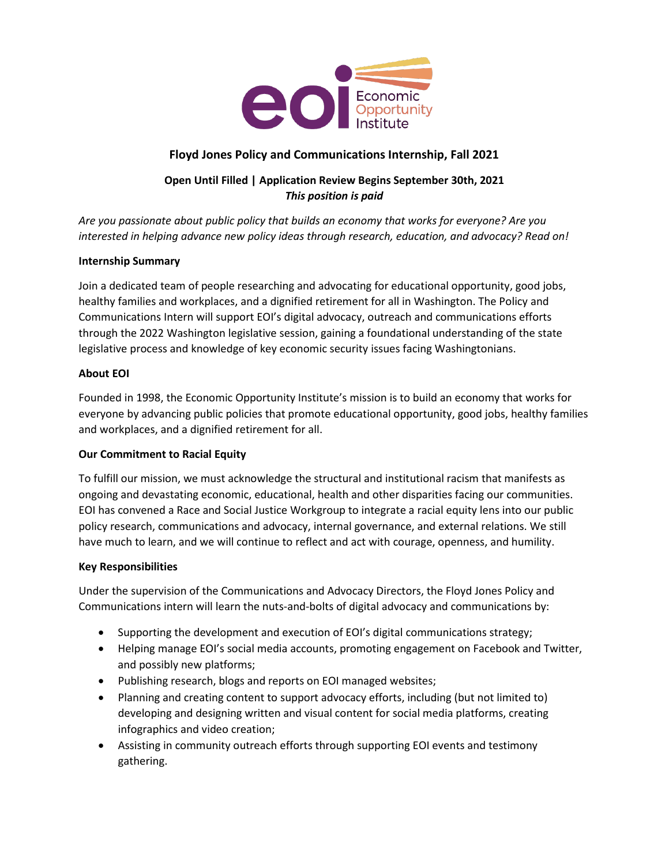

# **Floyd Jones Policy and Communications Internship, Fall 2021**

# **Open Until Filled | Application Review Begins September 30th, 2021** *This position is paid*

*Are you passionate about public policy that builds an economy that works for everyone? Are you interested in helping advance new policy ideas through research, education, and advocacy? Read on!*

## **Internship Summary**

Join a dedicated team of people researching and advocating for educational opportunity, good jobs, healthy families and workplaces, and a dignified retirement for all in Washington. The Policy and Communications Intern will support EOI's digital advocacy, outreach and communications efforts through the 2022 Washington legislative session, gaining a foundational understanding of the state legislative process and knowledge of key economic security issues facing Washingtonians.

#### **About EOI**

Founded in 1998, the Economic Opportunity Institute's mission is to build an economy that works for everyone by advancing public policies that promote educational opportunity, good jobs, healthy families and workplaces, and a dignified retirement for all.

## **Our Commitment to Racial Equity**

To fulfill our mission, we must acknowledge the structural and institutional racism that manifests as ongoing and devastating economic, educational, health and other disparities facing our communities. EOI has convened a Race and Social Justice Workgroup to integrate a racial equity lens into our public policy research, communications and advocacy, internal governance, and external relations. We still have much to learn, and we will continue to reflect and act with courage, openness, and humility.

#### **Key Responsibilities**

Under the supervision of the Communications and Advocacy Directors, the Floyd Jones Policy and Communications intern will learn the nuts-and-bolts of digital advocacy and communications by:

- Supporting the development and execution of EOI's digital communications strategy;
- Helping manage EOI's social media accounts, promoting engagement on Facebook and Twitter, and possibly new platforms;
- Publishing research, blogs and reports on EOI managed websites;
- Planning and creating content to support advocacy efforts, including (but not limited to) developing and designing written and visual content for social media platforms, creating infographics and video creation;
- Assisting in community outreach efforts through supporting EOI events and testimony gathering.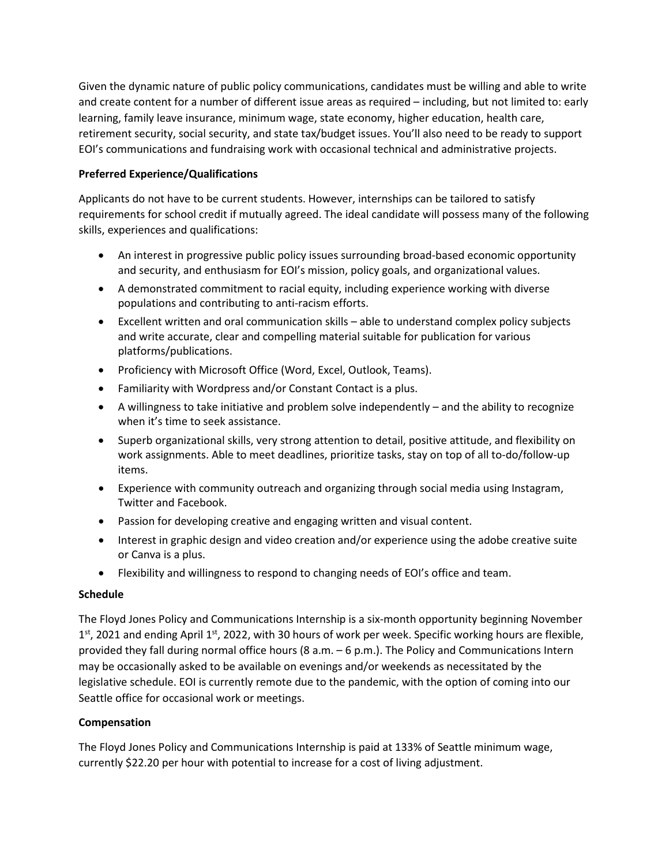Given the dynamic nature of public policy communications, candidates must be willing and able to write and create content for a number of different issue areas as required – including, but not limited to: early learning, family leave insurance, minimum wage, state economy, higher education, health care, retirement security, social security, and state tax/budget issues. You'll also need to be ready to support EOI's communications and fundraising work with occasional technical and administrative projects.

## **Preferred Experience/Qualifications**

Applicants do not have to be current students. However, internships can be tailored to satisfy requirements for school credit if mutually agreed. The ideal candidate will possess many of the following skills, experiences and qualifications:

- An interest in progressive public policy issues surrounding broad-based economic opportunity and security, and enthusiasm for EOI's mission, policy goals, and organizational values.
- A demonstrated commitment to racial equity, including experience working with diverse populations and contributing to anti-racism efforts.
- Excellent written and oral communication skills able to understand complex policy subjects and write accurate, clear and compelling material suitable for publication for various platforms/publications.
- Proficiency with Microsoft Office (Word, Excel, Outlook, Teams).
- Familiarity with Wordpress and/or Constant Contact is a plus.
- A willingness to take initiative and problem solve independently and the ability to recognize when it's time to seek assistance.
- Superb organizational skills, very strong attention to detail, positive attitude, and flexibility on work assignments. Able to meet deadlines, prioritize tasks, stay on top of all to-do/follow-up items.
- Experience with community outreach and organizing through social media using Instagram, Twitter and Facebook.
- Passion for developing creative and engaging written and visual content.
- Interest in graphic design and video creation and/or experience using the adobe creative suite or Canva is a plus.
- Flexibility and willingness to respond to changing needs of EOI's office and team.

## **Schedule**

The Floyd Jones Policy and Communications Internship is a six-month opportunity beginning November  $1<sup>st</sup>$ , 2021 and ending April  $1<sup>st</sup>$ , 2022, with 30 hours of work per week. Specific working hours are flexible, provided they fall during normal office hours ( $8$  a.m.  $-6$  p.m.). The Policy and Communications Intern may be occasionally asked to be available on evenings and/or weekends as necessitated by the legislative schedule. EOI is currently remote due to the pandemic, with the option of coming into our Seattle office for occasional work or meetings.

## **Compensation**

The Floyd Jones Policy and Communications Internship is paid at 133% of Seattle minimum wage, currently \$22.20 per hour with potential to increase for a cost of living adjustment.